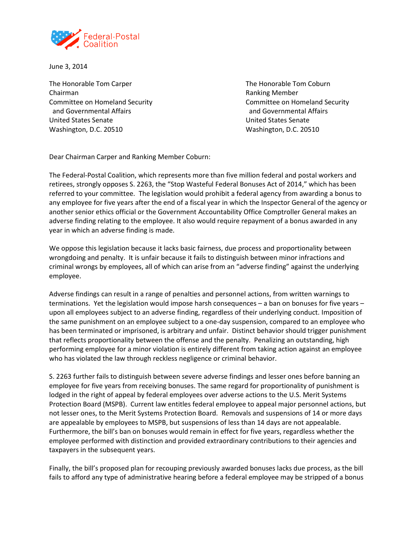

June 3, 2014

The Honorable Tom Carper The Honorable Tom Coburn Chairman **Chairman** Chairman **Ranking Member Ranking Member**  and Governmental Affairs and Governmental Affairs United States Senate United States Senate Washington, D.C. 20510 Washington, D.C. 20510

Committee on Homeland Security Committee on Homeland Security

Dear Chairman Carper and Ranking Member Coburn:

The Federal-Postal Coalition, which represents more than five million federal and postal workers and retirees, strongly opposes S. 2263, the "Stop Wasteful Federal Bonuses Act of 2014," which has been referred to your committee. The legislation would prohibit a federal agency from awarding a bonus to any employee for five years after the end of a fiscal year in which the Inspector General of the agency or another senior ethics official or the Government Accountability Office Comptroller General makes an adverse finding relating to the employee. It also would require repayment of a bonus awarded in any year in which an adverse finding is made.

We oppose this legislation because it lacks basic fairness, due process and proportionality between wrongdoing and penalty. It is unfair because it fails to distinguish between minor infractions and criminal wrongs by employees, all of which can arise from an "adverse finding" against the underlying employee.

Adverse findings can result in a range of penalties and personnel actions, from written warnings to terminations. Yet the legislation would impose harsh consequences – a ban on bonuses for five years – upon all employees subject to an adverse finding, regardless of their underlying conduct. Imposition of the same punishment on an employee subject to a one-day suspension, compared to an employee who has been terminated or imprisoned, is arbitrary and unfair. Distinct behavior should trigger punishment that reflects proportionality between the offense and the penalty. Penalizing an outstanding, high performing employee for a minor violation is entirely different from taking action against an employee who has violated the law through reckless negligence or criminal behavior.

S. 2263 further fails to distinguish between severe adverse findings and lesser ones before banning an employee for five years from receiving bonuses. The same regard for proportionality of punishment is lodged in the right of appeal by federal employees over adverse actions to the U.S. Merit Systems Protection Board (MSPB). Current law entitles federal employee to appeal major personnel actions, but not lesser ones, to the Merit Systems Protection Board. Removals and suspensions of 14 or more days are appealable by employees to MSPB, but suspensions of less than 14 days are not appealable. Furthermore, the bill's ban on bonuses would remain in effect for five years, regardless whether the employee performed with distinction and provided extraordinary contributions to their agencies and taxpayers in the subsequent years.

Finally, the bill's proposed plan for recouping previously awarded bonuses lacks due process, as the bill fails to afford any type of administrative hearing before a federal employee may be stripped of a bonus